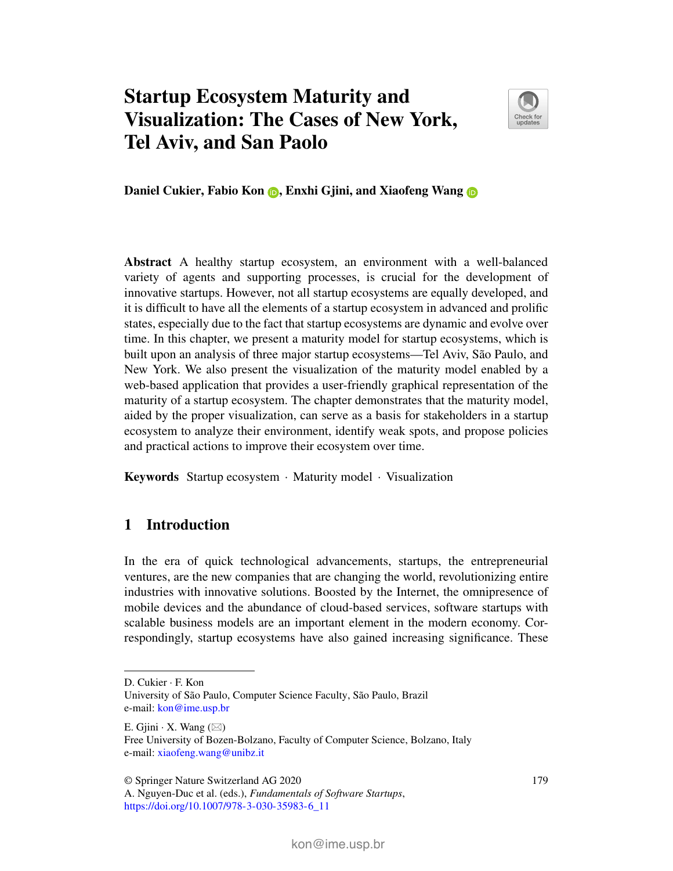# **Startup Ecosystem Maturity and Visualization: The Cases of New York, Tel Aviv, and San Paolo**



**Daniel Cukier, Fabio Kon <b>D**, Enxhi Gjini, and Xiaofeng Wang

**Abstract** A healthy startup ecosystem, an environment with a well-balanced variety of agents and supporting processes, is crucial for the development of innovative startups. However, not all startup ecosystems are equally developed, and it is difficult to have all the elements of a startup ecosystem in advanced and prolific states, especially due to the fact that startup ecosystems are dynamic and evolve over time. In this chapter, we present a maturity model for startup ecosystems, which is built upon an analysis of three major startup ecosystems—Tel Aviv, São Paulo, and New York. We also present the visualization of the maturity model enabled by a web-based application that provides a user-friendly graphical representation of the maturity of a startup ecosystem. The chapter demonstrates that the maturity model, aided by the proper visualization, can serve as a basis for stakeholders in a startup ecosystem to analyze their environment, identify weak spots, and propose policies and practical actions to improve their ecosystem over time.

**Keywords** Startup ecosystem · Maturity model · Visualization

## **1 Introduction**

In the era of quick technological advancements, startups, the entrepreneurial ventures, are the new companies that are changing the world, revolutionizing entire industries with innovative solutions. Boosted by the Internet, the omnipresence of mobile devices and the abundance of cloud-based services, software startups with scalable business models are an important element in the modern economy. Correspondingly, startup ecosystems have also gained increasing significance. These

© Springer Nature Switzerland AG 2020 A. Nguyen-Duc et al. (eds.), *Fundamentals of Software Startups*, https://doi.org/10.1007/978-3-030-35983-6\_11

179

D. Cukier · F. Kon

University of São Paulo, Computer Science Faculty, São Paulo, Brazil e-mail: kon@ime.usp.br

E. Gjini  $\cdot$  X. Wang ( $\boxtimes$ ) Free University of Bozen-Bolzano, Faculty of Computer Science, Bolzano, Italy e-mail: xiaofeng.wang@unibz.it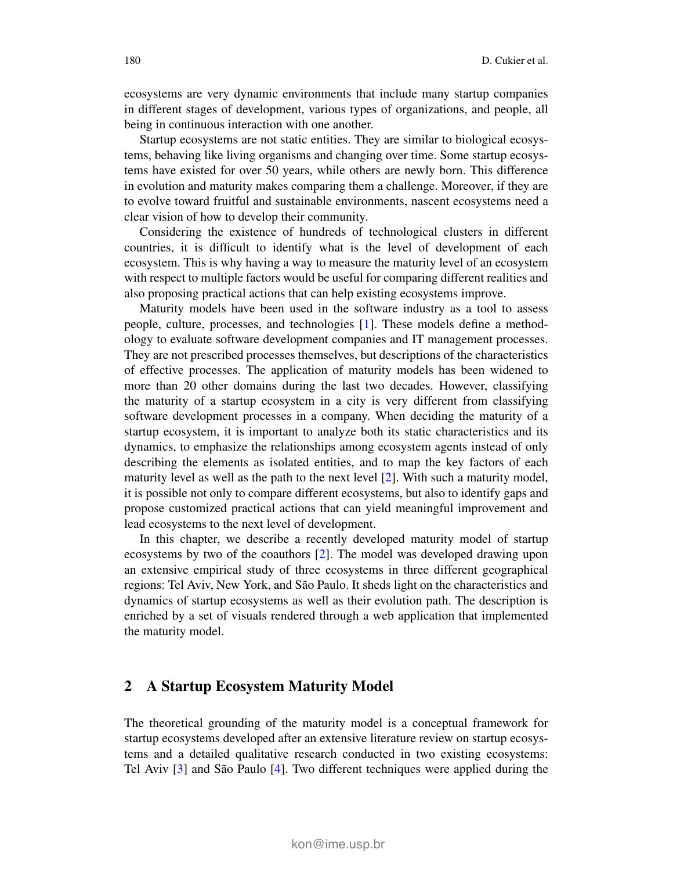ecosystems are very dynamic environments that include many startup companies in different stages of development, various types of organizations, and people, all being in continuous interaction with one another.

Startup ecosystems are not static entities. They are similar to biological ecosystems, behaving like living organisms and changing over time. Some startup ecosystems have existed for over 50 years, while others are newly born. This difference in evolution and maturity makes comparing them a challenge. Moreover, if they are to evolve toward fruitful and sustainable environments, nascent ecosystems need a clear vision of how to develop their community.

Considering the existence of hundreds of technological clusters in different countries, it is difficult to identify what is the level of development of each ecosystem. This is why having a way to measure the maturity level of an ecosystem with respect to multiple factors would be useful for comparing different realities and also proposing practical actions that can help existing ecosystems improve.

Maturity models have been used in the software industry as a tool to assess people, culture, processes, and technologies [1]. These models define a methodology to evaluate software development companies and IT management processes. They are not prescribed processes themselves, but descriptions of the characteristics of effective processes. The application of maturity models has been widened to more than 20 other domains during the last two decades. However, classifying the maturity of a startup ecosystem in a city is very different from classifying software development processes in a company. When deciding the maturity of a startup ecosystem, it is important to analyze both its static characteristics and its dynamics, to emphasize the relationships among ecosystem agents instead of only describing the elements as isolated entities, and to map the key factors of each maturity level as well as the path to the next level [2]. With such a maturity model, it is possible not only to compare different ecosystems, but also to identify gaps and propose customized practical actions that can yield meaningful improvement and lead ecosystems to the next level of development.

In this chapter, we describe a recently developed maturity model of startup ecosystems by two of the coauthors [2]. The model was developed drawing upon an extensive empirical study of three ecosystems in three different geographical regions: Tel Aviv, New York, and São Paulo. It sheds light on the characteristics and dynamics of startup ecosystems as well as their evolution path. The description is enriched by a set of visuals rendered through a web application that implemented the maturity model.

### **2 A Startup Ecosystem Maturity Model**

The theoretical grounding of the maturity model is a conceptual framework for startup ecosystems developed after an extensive literature review on startup ecosystems and a detailed qualitative research conducted in two existing ecosystems: Tel Aviv [3] and São Paulo [4]. Two different techniques were applied during the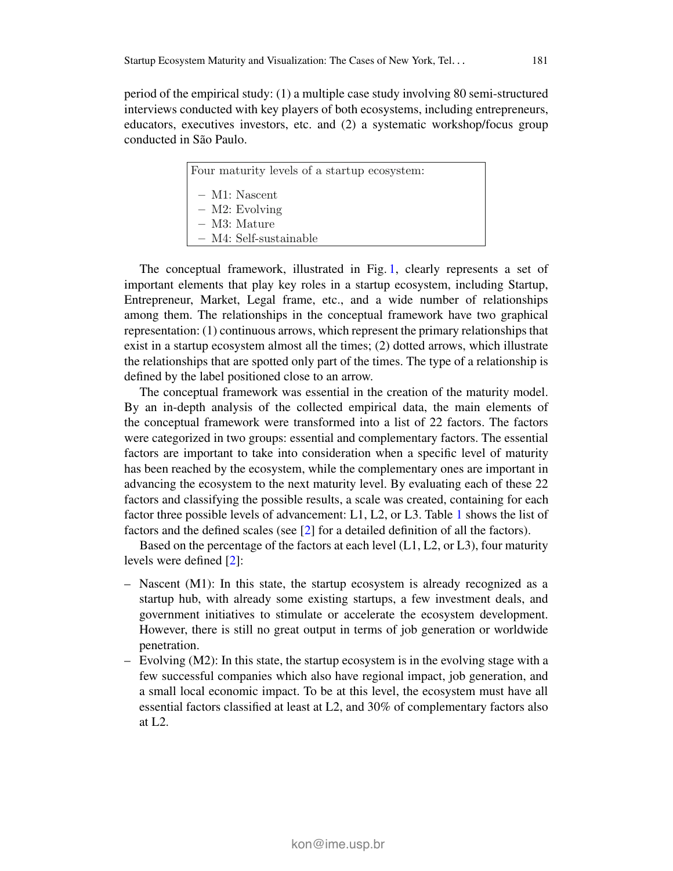period of the empirical study: (1) a multiple case study involving 80 semi-structured interviews conducted with key players of both ecosystems, including entrepreneurs, educators, executives investors, etc. and (2) a systematic workshop/focus group conducted in São Paulo.

| Four maturity levels of a startup ecosystem: |  |
|----------------------------------------------|--|
| - M1: Nascent                                |  |
| $-$ M2: Evolving                             |  |
| $-$ M3: Mature                               |  |
| $-$ M4: Self-sustainable                     |  |

The conceptual framework, illustrated in Fig. 1, clearly represents a set of important elements that play key roles in a startup ecosystem, including Startup, Entrepreneur, Market, Legal frame, etc., and a wide number of relationships among them. The relationships in the conceptual framework have two graphical representation: (1) continuous arrows, which represent the primary relationships that exist in a startup ecosystem almost all the times; (2) dotted arrows, which illustrate the relationships that are spotted only part of the times. The type of a relationship is defined by the label positioned close to an arrow.

The conceptual framework was essential in the creation of the maturity model. By an in-depth analysis of the collected empirical data, the main elements of the conceptual framework were transformed into a list of 22 factors. The factors were categorized in two groups: essential and complementary factors. The essential factors are important to take into consideration when a specific level of maturity has been reached by the ecosystem, while the complementary ones are important in advancing the ecosystem to the next maturity level. By evaluating each of these 22 factors and classifying the possible results, a scale was created, containing for each factor three possible levels of advancement: L1, L2, or L3. Table 1 shows the list of factors and the defined scales (see [2] for a detailed definition of all the factors).

Based on the percentage of the factors at each level (L1, L2, or L3), four maturity levels were defined [2]:

- Nascent (M1): In this state, the startup ecosystem is already recognized as a startup hub, with already some existing startups, a few investment deals, and government initiatives to stimulate or accelerate the ecosystem development. However, there is still no great output in terms of job generation or worldwide penetration.
- Evolving (M2): In this state, the startup ecosystem is in the evolving stage with a few successful companies which also have regional impact, job generation, and a small local economic impact. To be at this level, the ecosystem must have all essential factors classified at least at L2, and 30% of complementary factors also at L2.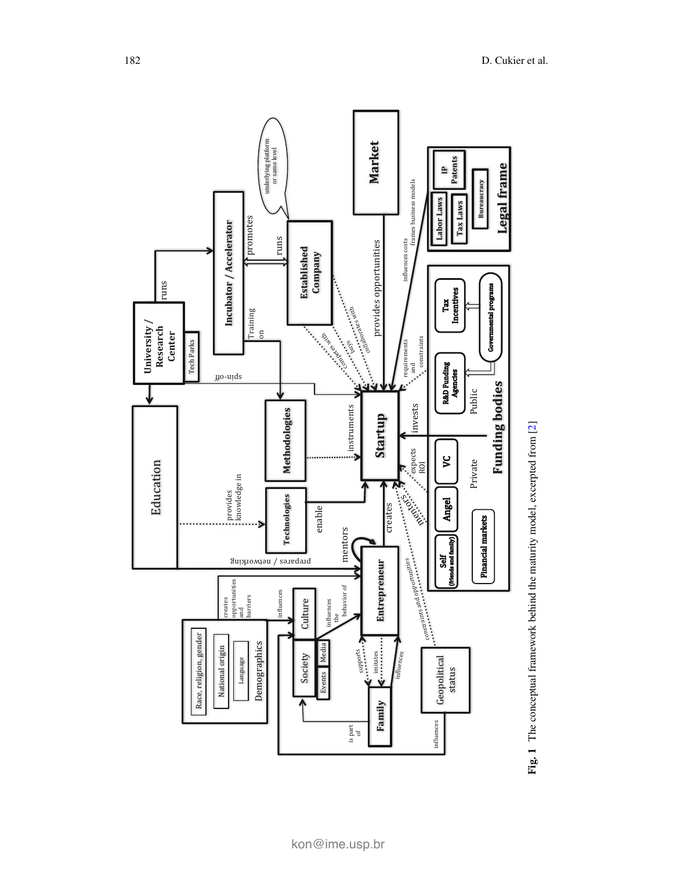

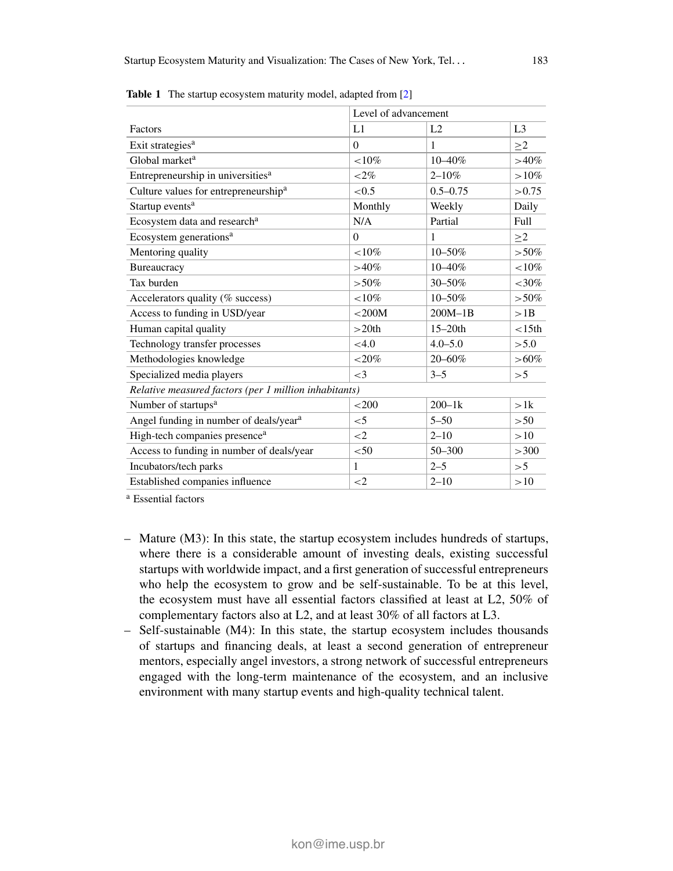|                                                       | Level of advancement |              |                |
|-------------------------------------------------------|----------------------|--------------|----------------|
| Factors                                               | L1                   | L2           | L <sub>3</sub> |
| Exit strategies <sup>a</sup>                          | $\theta$             | $\mathbf{1}$ | $\geq$ 2       |
| Global market <sup>a</sup>                            | ${<}10\%$            | 10-40%       | $>40\%$        |
| Entrepreneurship in universities <sup>a</sup>         | ${<}2\%$             | $2 - 10%$    | $>10\%$        |
| Culture values for entrepreneurship <sup>a</sup>      | ${<}0.5$             | $0.5 - 0.75$ | >0.75          |
| Startup events <sup>a</sup>                           | Monthly              | Weekly       | Daily          |
| Ecosystem data and research <sup>a</sup>              | N/A                  | Partial      | Full           |
| Ecosystem generations <sup>a</sup>                    | $\theta$             | $\mathbf{1}$ | $\geq$ 2       |
| Mentoring quality                                     | ${<}10\%$            | $10 - 50%$   | $> 50\%$       |
| Bureaucracy                                           | $>40\%$              | 10-40%       | ${<}10\%$      |
| Tax burden                                            | $> 50\%$             | 30-50%       | $<$ 30%        |
| Accelerators quality (% success)                      | ${<}10\%$            | $10 - 50%$   | $> 50\%$       |
| Access to funding in USD/year                         | $<$ 200M             | $200M-1B$    | >1B            |
| Human capital quality                                 | >20th                | $15-20$ th   | $<$ 15th       |
| Technology transfer processes                         | <4.0                 | $4.0 - 5.0$  | > 5.0          |
| Methodologies knowledge                               | ${<}20\%$            | 20-60%       | $> 60\%$       |
| Specialized media players                             | $\leq$ 3             | $3 - 5$      | > 5            |
| Relative measured factors (per 1 million inhabitants) |                      |              |                |
| Number of startups <sup>a</sup>                       | $<$ 200              | $200 - 1k$   | >1k            |
| Angel funding in number of deals/year <sup>a</sup>    | $<$ 5                | $5 - 50$     | > 50           |
| High-tech companies presence <sup>a</sup>             | $<$ 2                | $2 - 10$     | >10            |
| Access to funding in number of deals/year             | < 50                 | $50 - 300$   | >300           |

**Table 1** The startup ecosystem maturity model, adapted from [2]

<sup>a</sup> Essential factors

– Mature (M3): In this state, the startup ecosystem includes hundreds of startups, where there is a considerable amount of investing deals, existing successful startups with worldwide impact, and a first generation of successful entrepreneurs who help the ecosystem to grow and be self-sustainable. To be at this level, the ecosystem must have all essential factors classified at least at L2, 50% of complementary factors also at L2, and at least 30% of all factors at L3.

Incubators/tech parks  $\vert 1 \vert$   $\vert 2-5 \vert >5$ Established companies influence  $|<2$   $|<2$ –10  $|>10$ 

– Self-sustainable (M4): In this state, the startup ecosystem includes thousands of startups and financing deals, at least a second generation of entrepreneur mentors, especially angel investors, a strong network of successful entrepreneurs engaged with the long-term maintenance of the ecosystem, and an inclusive environment with many startup events and high-quality technical talent.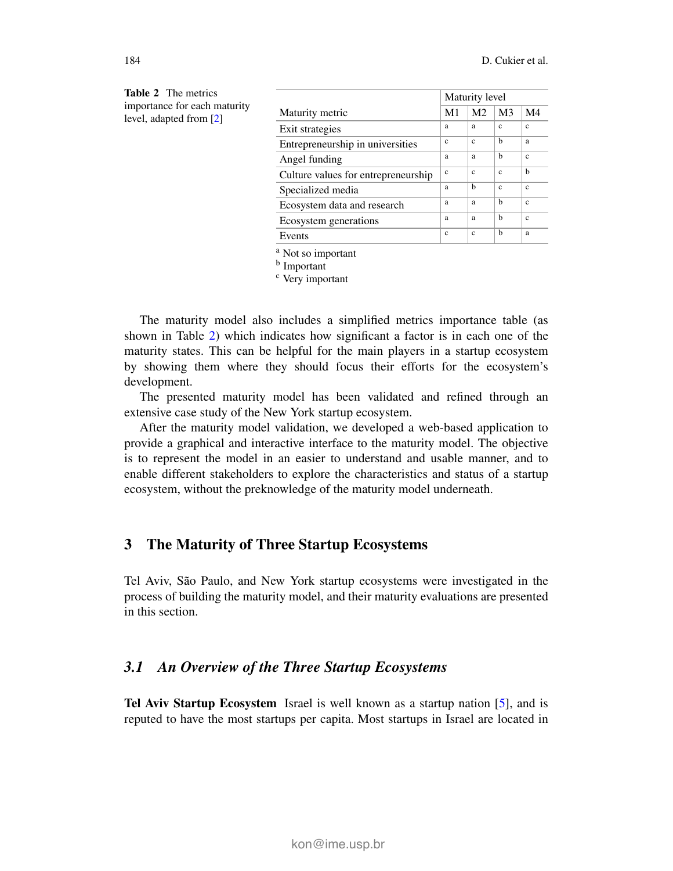| <b>Table 2</b> The metrics                              |                                     |             | Maturity level |                |                |
|---------------------------------------------------------|-------------------------------------|-------------|----------------|----------------|----------------|
| importance for each maturity<br>level, adapted from [2] | Maturity metric                     | M1          | M <sub>2</sub> | M <sub>3</sub> | M <sub>4</sub> |
|                                                         | Exit strategies                     | a           | a              | $\mathbf{c}$   | $\mathbf{c}$   |
|                                                         | Entrepreneurship in universities    | $\mathbf c$ | $\mathbf{c}$   | h              | a              |
|                                                         | Angel funding                       | a           | a              | h              | $\mathbf{c}$   |
|                                                         | Culture values for entrepreneurship | $\mathbf c$ | $\mathbf{c}$   | $\mathbf{c}$   | $\mathbf b$    |
|                                                         | Specialized media                   | a           | h              | $\mathbf{c}$   | $\mathbf{c}$   |
|                                                         | Ecosystem data and research         | a           | a              | h              | $\mathbf{c}$   |
|                                                         | Ecosystem generations               | a           | a              | h              | $\mathbf{c}$   |
|                                                         | Events                              | $\mathbf c$ | $\mathbf{c}$   | h              | a              |
|                                                         |                                     |             |                |                |                |

<sup>a</sup> Not so important

 $^{\rm b}$  Important

<sup>c</sup> Very important

The maturity model also includes a simplified metrics importance table (as shown in Table 2) which indicates how significant a factor is in each one of the maturity states. This can be helpful for the main players in a startup ecosystem by showing them where they should focus their efforts for the ecosystem's development.

The presented maturity model has been validated and refined through an extensive case study of the New York startup ecosystem.

After the maturity model validation, we developed a web-based application to provide a graphical and interactive interface to the maturity model. The objective is to represent the model in an easier to understand and usable manner, and to enable different stakeholders to explore the characteristics and status of a startup ecosystem, without the preknowledge of the maturity model underneath.

## **3 The Maturity of Three Startup Ecosystems**

Tel Aviv, São Paulo, and New York startup ecosystems were investigated in the process of building the maturity model, and their maturity evaluations are presented in this section.

## *3.1 An Overview of the Three Startup Ecosystems*

**Tel Aviv Startup Ecosystem** Israel is well known as a startup nation [5], and is reputed to have the most startups per capita. Most startups in Israel are located in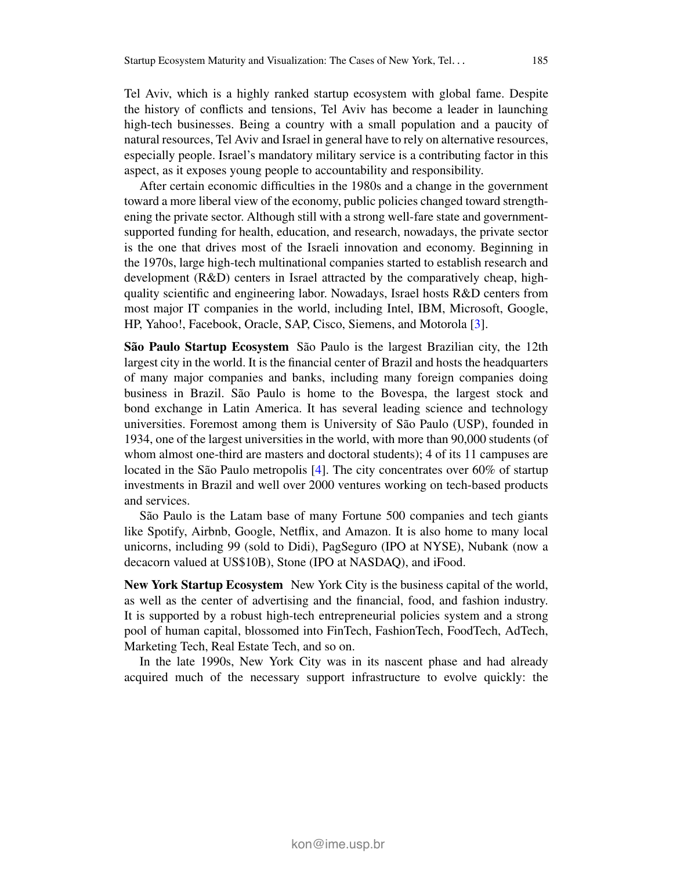Tel Aviv, which is a highly ranked startup ecosystem with global fame. Despite the history of conflicts and tensions, Tel Aviv has become a leader in launching high-tech businesses. Being a country with a small population and a paucity of natural resources, Tel Aviv and Israel in general have to rely on alternative resources, especially people. Israel's mandatory military service is a contributing factor in this aspect, as it exposes young people to accountability and responsibility.

After certain economic difficulties in the 1980s and a change in the government toward a more liberal view of the economy, public policies changed toward strengthening the private sector. Although still with a strong well-fare state and governmentsupported funding for health, education, and research, nowadays, the private sector is the one that drives most of the Israeli innovation and economy. Beginning in the 1970s, large high-tech multinational companies started to establish research and development (R&D) centers in Israel attracted by the comparatively cheap, highquality scientific and engineering labor. Nowadays, Israel hosts R&D centers from most major IT companies in the world, including Intel, IBM, Microsoft, Google, HP, Yahoo!, Facebook, Oracle, SAP, Cisco, Siemens, and Motorola [3].

**São Paulo Startup Ecosystem** São Paulo is the largest Brazilian city, the 12th largest city in the world. It is the financial center of Brazil and hosts the headquarters of many major companies and banks, including many foreign companies doing business in Brazil. São Paulo is home to the Bovespa, the largest stock and bond exchange in Latin America. It has several leading science and technology universities. Foremost among them is University of São Paulo (USP), founded in 1934, one of the largest universities in the world, with more than 90,000 students (of whom almost one-third are masters and doctoral students); 4 of its 11 campuses are located in the São Paulo metropolis [4]. The city concentrates over 60% of startup investments in Brazil and well over 2000 ventures working on tech-based products and services.

São Paulo is the Latam base of many Fortune 500 companies and tech giants like Spotify, Airbnb, Google, Netflix, and Amazon. It is also home to many local unicorns, including 99 (sold to Didi), PagSeguro (IPO at NYSE), Nubank (now a decacorn valued at US\$10B), Stone (IPO at NASDAQ), and iFood.

**New York Startup Ecosystem** New York City is the business capital of the world, as well as the center of advertising and the financial, food, and fashion industry. It is supported by a robust high-tech entrepreneurial policies system and a strong pool of human capital, blossomed into FinTech, FashionTech, FoodTech, AdTech, Marketing Tech, Real Estate Tech, and so on.

In the late 1990s, New York City was in its nascent phase and had already acquired much of the necessary support infrastructure to evolve quickly: the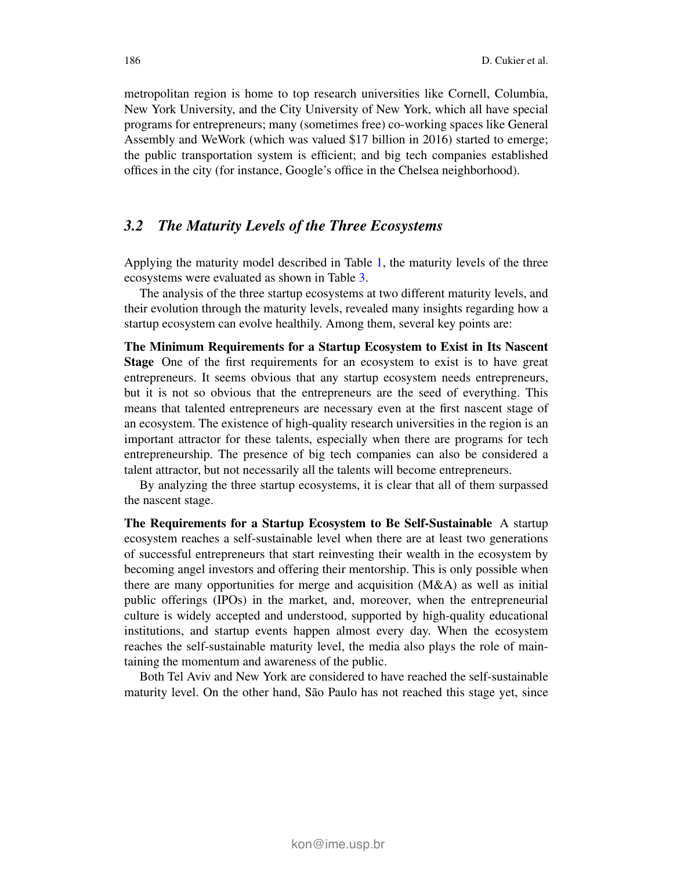metropolitan region is home to top research universities like Cornell, Columbia, New York University, and the City University of New York, which all have special programs for entrepreneurs; many (sometimes free) co-working spaces like General Assembly and WeWork (which was valued \$17 billion in 2016) started to emerge; the public transportation system is efficient; and big tech companies established offices in the city (for instance, Google's office in the Chelsea neighborhood).

## *3.2 The Maturity Levels of the Three Ecosystems*

Applying the maturity model described in Table 1, the maturity levels of the three ecosystems were evaluated as shown in Table 3.

The analysis of the three startup ecosystems at two different maturity levels, and their evolution through the maturity levels, revealed many insights regarding how a startup ecosystem can evolve healthily. Among them, several key points are:

**The Minimum Requirements for a Startup Ecosystem to Exist in Its Nascent Stage** One of the first requirements for an ecosystem to exist is to have great entrepreneurs. It seems obvious that any startup ecosystem needs entrepreneurs, but it is not so obvious that the entrepreneurs are the seed of everything. This means that talented entrepreneurs are necessary even at the first nascent stage of an ecosystem. The existence of high-quality research universities in the region is an important attractor for these talents, especially when there are programs for tech entrepreneurship. The presence of big tech companies can also be considered a talent attractor, but not necessarily all the talents will become entrepreneurs.

By analyzing the three startup ecosystems, it is clear that all of them surpassed the nascent stage.

**The Requirements for a Startup Ecosystem to Be Self-Sustainable** A startup ecosystem reaches a self-sustainable level when there are at least two generations of successful entrepreneurs that start reinvesting their wealth in the ecosystem by becoming angel investors and offering their mentorship. This is only possible when there are many opportunities for merge and acquisition (M&A) as well as initial public offerings (IPOs) in the market, and, moreover, when the entrepreneurial culture is widely accepted and understood, supported by high-quality educational institutions, and startup events happen almost every day. When the ecosystem reaches the self-sustainable maturity level, the media also plays the role of maintaining the momentum and awareness of the public.

Both Tel Aviv and New York are considered to have reached the self-sustainable maturity level. On the other hand, São Paulo has not reached this stage yet, since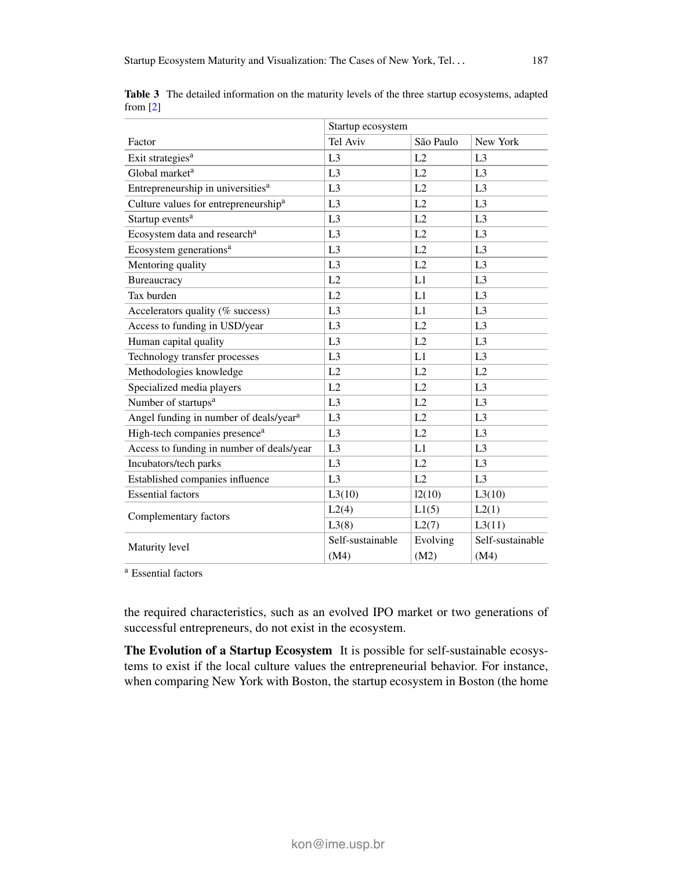|                                                    | Startup ecosystem |           |                  |
|----------------------------------------------------|-------------------|-----------|------------------|
| Factor                                             | Tel Aviv          | São Paulo | New York         |
| Exit strategies <sup>a</sup>                       | L <sub>3</sub>    | L2        | L <sub>3</sub>   |
| Global market <sup>a</sup>                         | L <sub>3</sub>    | L2        | L <sub>3</sub>   |
| Entrepreneurship in universities <sup>a</sup>      | L <sub>3</sub>    | L2        | L3               |
| Culture values for entrepreneurship <sup>a</sup>   | L <sub>3</sub>    | L2        | L <sub>3</sub>   |
| Startup events <sup>a</sup>                        | L <sub>3</sub>    | L2        | L <sub>3</sub>   |
| Ecosystem data and research <sup>a</sup>           | L <sub>3</sub>    | L2        | L <sub>3</sub>   |
| Ecosystem generations <sup>a</sup>                 | L <sub>3</sub>    | L2        | L <sub>3</sub>   |
| Mentoring quality                                  | L <sub>3</sub>    | L2        | L <sub>3</sub>   |
| Bureaucracy                                        | L2                | L1        | L <sub>3</sub>   |
| Tax burden                                         | L2                | L1        | L <sub>3</sub>   |
| Accelerators quality (% success)                   | L <sub>3</sub>    | L1        | L <sub>3</sub>   |
| Access to funding in USD/year                      | L <sub>3</sub>    | L2        | L <sub>3</sub>   |
| Human capital quality                              | L <sub>3</sub>    | L2        | L <sub>3</sub>   |
| Technology transfer processes                      | L <sub>3</sub>    | L1        | L <sub>3</sub>   |
| Methodologies knowledge                            | L2                | L2        | L2               |
| Specialized media players                          | L2                | L2        | L <sub>3</sub>   |
| Number of startups <sup>a</sup>                    | L <sub>3</sub>    | L2        | L <sub>3</sub>   |
| Angel funding in number of deals/year <sup>a</sup> | L <sub>3</sub>    | L2        | L <sub>3</sub>   |
| High-tech companies presence <sup>a</sup>          | L <sub>3</sub>    | L2        | L <sub>3</sub>   |
| Access to funding in number of deals/year          | L <sub>3</sub>    | L1        | L <sub>3</sub>   |
| Incubators/tech parks                              | L <sub>3</sub>    | L2        | L <sub>3</sub>   |
| Established companies influence                    | L <sub>3</sub>    | L2        | L <sub>3</sub>   |
| <b>Essential factors</b>                           | L3(10)            | 12(10)    | L3(10)           |
| Complementary factors                              | L2(4)             | L1(5)     | L2(1)            |
|                                                    | L3(8)             | L2(7)     | L3(11)           |
| Maturity level                                     | Self-sustainable  | Evolving  | Self-sustainable |
|                                                    | (M4)              | (M2)      | (M4)             |

**Table 3** The detailed information on the maturity levels of the three startup ecosystems, adapted from [2]

<sup>a</sup> Essential factors

the required characteristics, such as an evolved IPO market or two generations of successful entrepreneurs, do not exist in the ecosystem.

**The Evolution of a Startup Ecosystem** It is possible for self-sustainable ecosystems to exist if the local culture values the entrepreneurial behavior. For instance, when comparing New York with Boston, the startup ecosystem in Boston (the home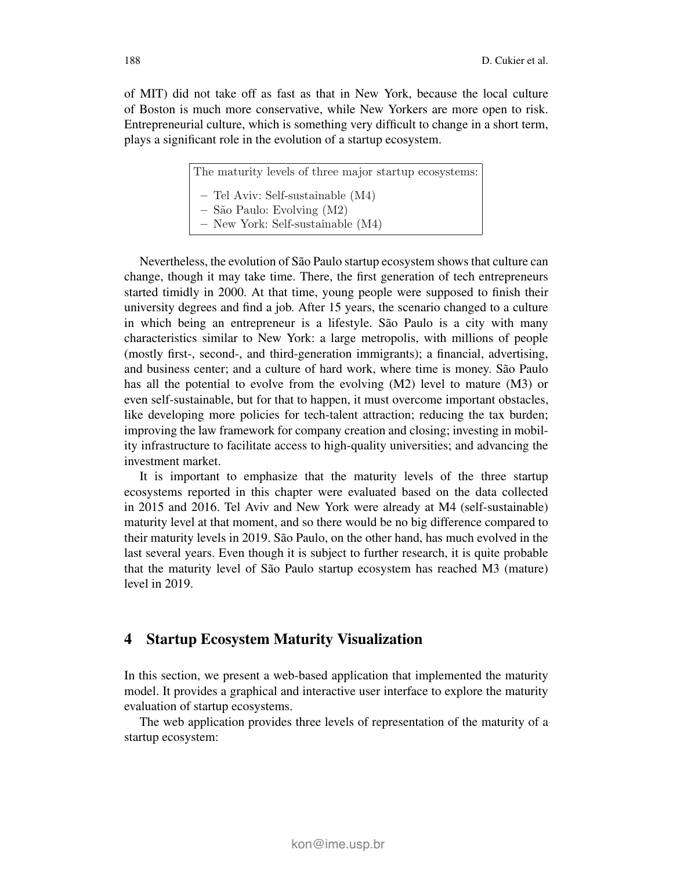of MIT) did not take off as fast as that in New York, because the local culture of Boston is much more conservative, while New Yorkers are more open to risk. Entrepreneurial culture, which is something very difficult to change in a short term, plays a significant role in the evolution of a startup ecosystem.

> The maturity levels of three major startup ecosystems: – Tel Aviv: Self-sustainable (M4) – Sa˜o Paulo: Evolving (M2) – New York: Self-sustainable (M4)

Nevertheless, the evolution of São Paulo startup ecosystem shows that culture can change, though it may take time. There, the first generation of tech entrepreneurs started timidly in 2000. At that time, young people were supposed to finish their university degrees and find a job. After 15 years, the scenario changed to a culture in which being an entrepreneur is a lifestyle. São Paulo is a city with many characteristics similar to New York: a large metropolis, with millions of people (mostly first-, second-, and third-generation immigrants); a financial, advertising, and business center; and a culture of hard work, where time is money. São Paulo has all the potential to evolve from the evolving (M2) level to mature (M3) or even self-sustainable, but for that to happen, it must overcome important obstacles, like developing more policies for tech-talent attraction; reducing the tax burden; improving the law framework for company creation and closing; investing in mobility infrastructure to facilitate access to high-quality universities; and advancing the investment market.

It is important to emphasize that the maturity levels of the three startup ecosystems reported in this chapter were evaluated based on the data collected in 2015 and 2016. Tel Aviv and New York were already at M4 (self-sustainable) maturity level at that moment, and so there would be no big difference compared to their maturity levels in 2019. São Paulo, on the other hand, has much evolved in the last several years. Even though it is subject to further research, it is quite probable that the maturity level of São Paulo startup ecosystem has reached M3 (mature) level in 2019.

### **4 Startup Ecosystem Maturity Visualization**

In this section, we present a web-based application that implemented the maturity model. It provides a graphical and interactive user interface to explore the maturity evaluation of startup ecosystems.

The web application provides three levels of representation of the maturity of a startup ecosystem: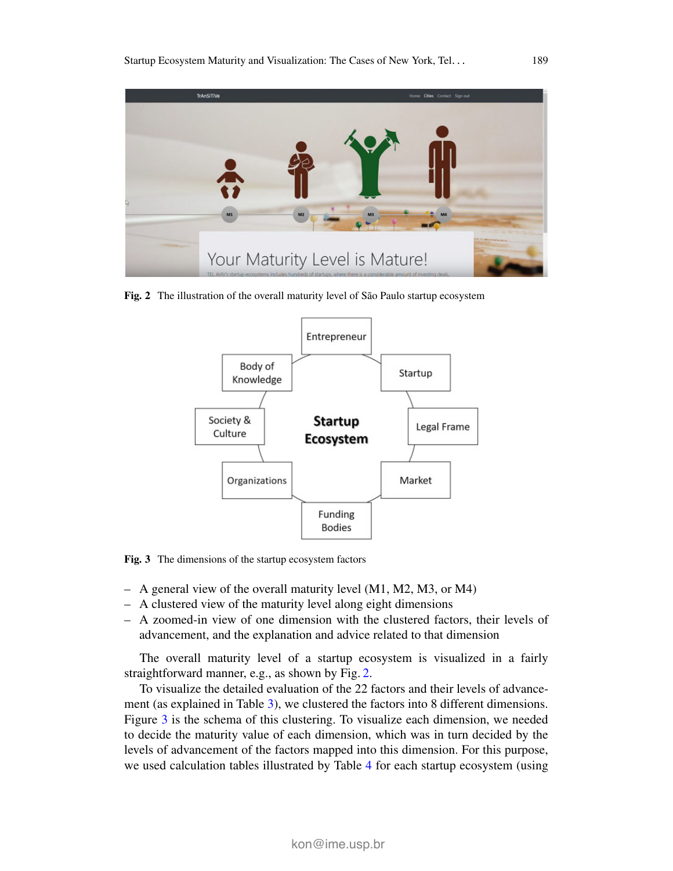

**Fig. 2** The illustration of the overall maturity level of São Paulo startup ecosystem



**Fig. 3** The dimensions of the startup ecosystem factors

- A general view of the overall maturity level (M1, M2, M3, or M4)
- A clustered view of the maturity level along eight dimensions
- A zoomed-in view of one dimension with the clustered factors, their levels of advancement, and the explanation and advice related to that dimension

The overall maturity level of a startup ecosystem is visualized in a fairly straightforward manner, e.g., as shown by Fig. 2.

To visualize the detailed evaluation of the 22 factors and their levels of advancement (as explained in Table 3), we clustered the factors into 8 different dimensions. Figure 3 is the schema of this clustering. To visualize each dimension, we needed to decide the maturity value of each dimension, which was in turn decided by the levels of advancement of the factors mapped into this dimension. For this purpose, we used calculation tables illustrated by Table 4 for each startup ecosystem (using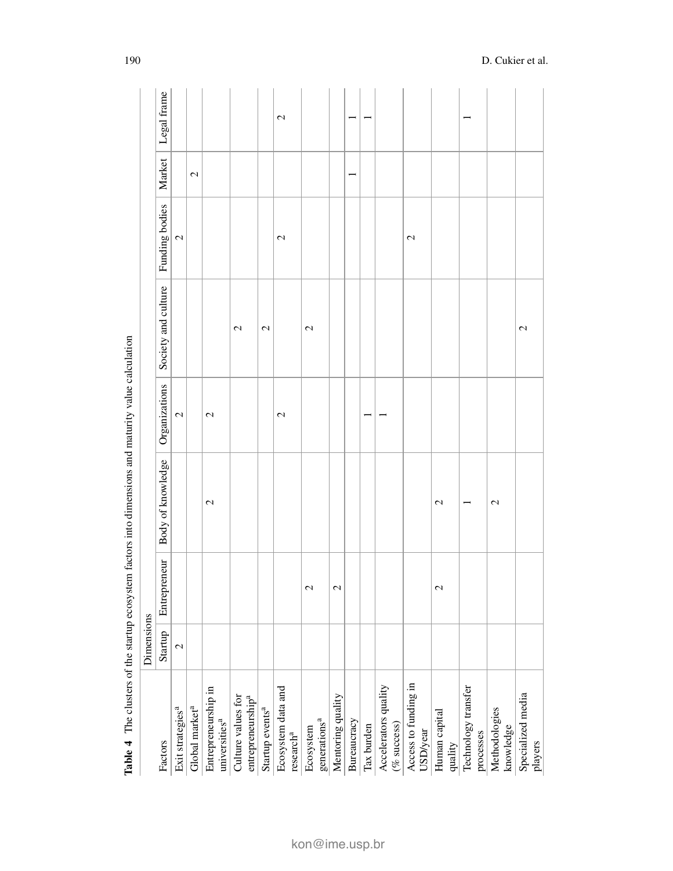| Table 4 The clusters of the startup ecosystem factors into dimensions and maturity value calculation |               |                          |                   |               |                     |                |              |              |
|------------------------------------------------------------------------------------------------------|---------------|--------------------------|-------------------|---------------|---------------------|----------------|--------------|--------------|
|                                                                                                      | Dimensions    |                          |                   |               |                     |                |              |              |
| Factors                                                                                              | Startup       | Entrepreneur             | Body of knowledge | Organizations | Society and culture | Funding bodies | Market       | Legal frame  |
| Exit strategies <sup>a</sup>                                                                         | $\mathcal{L}$ |                          |                   | $\mathcal{L}$ |                     | $\mathcal{L}$  |              |              |
| Global market <sup>a</sup>                                                                           |               |                          |                   |               |                     |                | $\mathbf{C}$ |              |
| Entrepreneurship in<br>universities <sup>a</sup>                                                     |               |                          | $\mathcal{L}$     | $\mathcal{L}$ |                     |                |              |              |
| Culture values for<br>entrepreneurship <sup>a</sup>                                                  |               |                          |                   |               | $\mathcal{L}$       |                |              |              |
| Startup events <sup>a</sup>                                                                          |               |                          |                   |               | $\mathcal{L}$       |                |              |              |
| Ecosystem data and<br>$\rm research^a$                                                               |               |                          |                   | $\mathcal{L}$ |                     | $\mathcal{L}$  |              | $\mathbf{C}$ |
| generations <sup>a</sup><br>Ecosystem                                                                |               | $\mathbf{C}$             |                   |               | $\mathcal{L}$       |                |              |              |
| Mentoring quality                                                                                    |               | $\mathbf{c}$             |                   |               |                     |                |              |              |
| Bureaucracy                                                                                          |               |                          |                   |               |                     |                |              |              |
| Tax burden                                                                                           |               |                          |                   |               |                     |                |              |              |
| Accelerators quality<br>(% success)                                                                  |               |                          |                   |               |                     |                |              |              |
| Access to funding in<br>USD/year                                                                     |               |                          |                   |               |                     | $\mathcal{L}$  |              |              |
| Human capital<br>quality                                                                             |               | $\overline{\mathcal{C}}$ | $\mathcal{L}$     |               |                     |                |              |              |
| Technology transfer<br>processes                                                                     |               |                          |                   |               |                     |                |              |              |
| Methodologies<br>knowledge                                                                           |               |                          | $\mathbf{c}$      |               |                     |                |              |              |
| Specialized media<br>players                                                                         |               |                          |                   |               | $\mathcal{L}$       |                |              |              |

Table 4 The clusters of the startup ecosystem factors into dimensions and maturity value calculation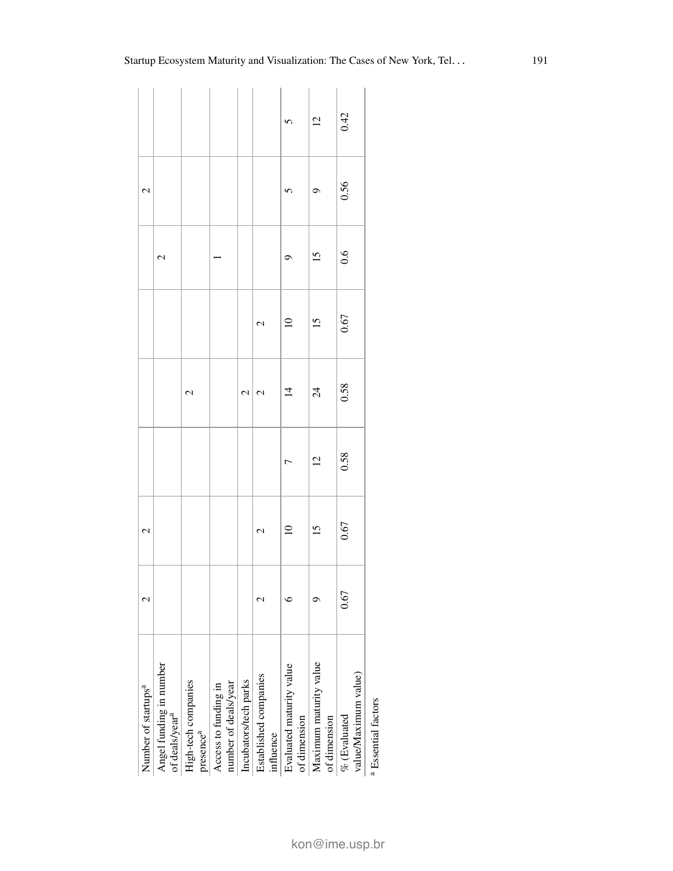| Number of startups <sup>a</sup>                       | $\mathcal{C}$ | 2               |                |                         |                 |             | 2                 |      |
|-------------------------------------------------------|---------------|-----------------|----------------|-------------------------|-----------------|-------------|-------------------|------|
| Angel funding in number<br>of deals/year <sup>a</sup> |               |                 |                |                         |                 | $\mathbf 2$ |                   |      |
| High-tech companies<br>presence <sup>a</sup>          |               |                 |                | $\mathcal{C}$           |                 |             |                   |      |
| number of deals/year<br>Access to funding in          |               |                 |                |                         |                 |             |                   |      |
| Incubators/tech parks                                 |               |                 |                | $\mathcal{L}$           |                 |             |                   |      |
| Established companies<br>influence                    | N             | $\mathcal{L}$   |                | $\overline{\mathsf{c}}$ | $\mathbf{C}$    |             |                   |      |
| Evaluated maturity value<br>of dimension              |               | $\overline{10}$ | $\overline{ }$ | $\Xi$                   | $\overline{10}$ | ç           | 5                 | 5    |
| Maximum maturity value<br>of dimension                | σ             | 15              | $\overline{2}$ | $\overline{24}$         | 15              | 15          | $\mathbf{\Omega}$ | 12   |
| value/Maximum value)<br>$%$ (Evaluated                | 0.67          | 0.67            | 0.58           | 0.58                    | 0.67            | 0.6         | 0.56              | 0.42 |
| $\limsup_{n\to\infty}$ is at $\limsup_{n\to\infty}$   |               |                 |                |                         |                 |             |                   |      |

Essential factors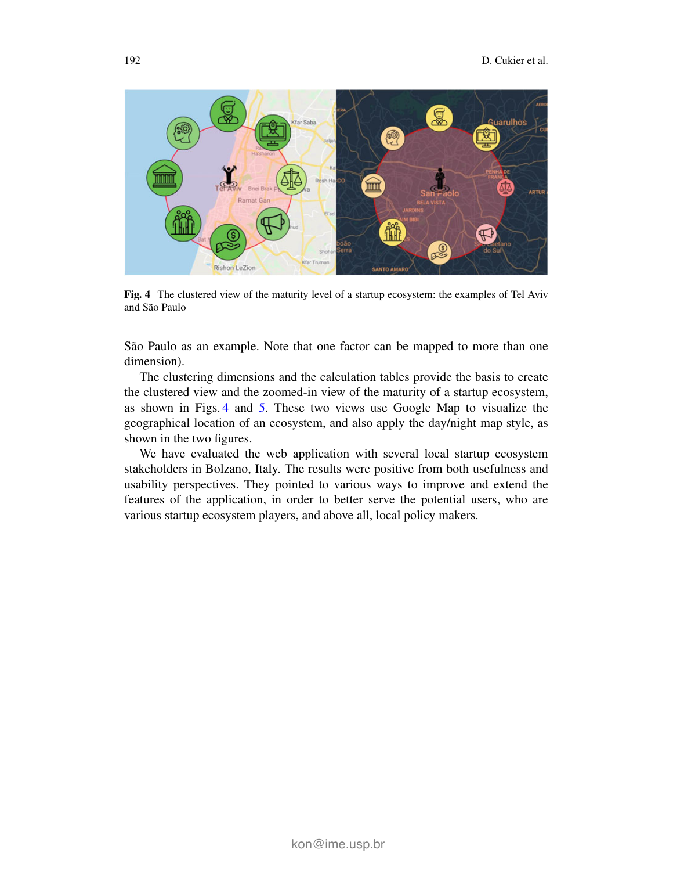

**Fig. 4** The clustered view of the maturity level of a startup ecosystem: the examples of Tel Aviv and São Paulo

São Paulo as an example. Note that one factor can be mapped to more than one dimension).

The clustering dimensions and the calculation tables provide the basis to create the clustered view and the zoomed-in view of the maturity of a startup ecosystem, as shown in Figs. 4 and 5. These two views use Google Map to visualize the geographical location of an ecosystem, and also apply the day/night map style, as shown in the two figures.

We have evaluated the web application with several local startup ecosystem stakeholders in Bolzano, Italy. The results were positive from both usefulness and usability perspectives. They pointed to various ways to improve and extend the features of the application, in order to better serve the potential users, who are various startup ecosystem players, and above all, local policy makers.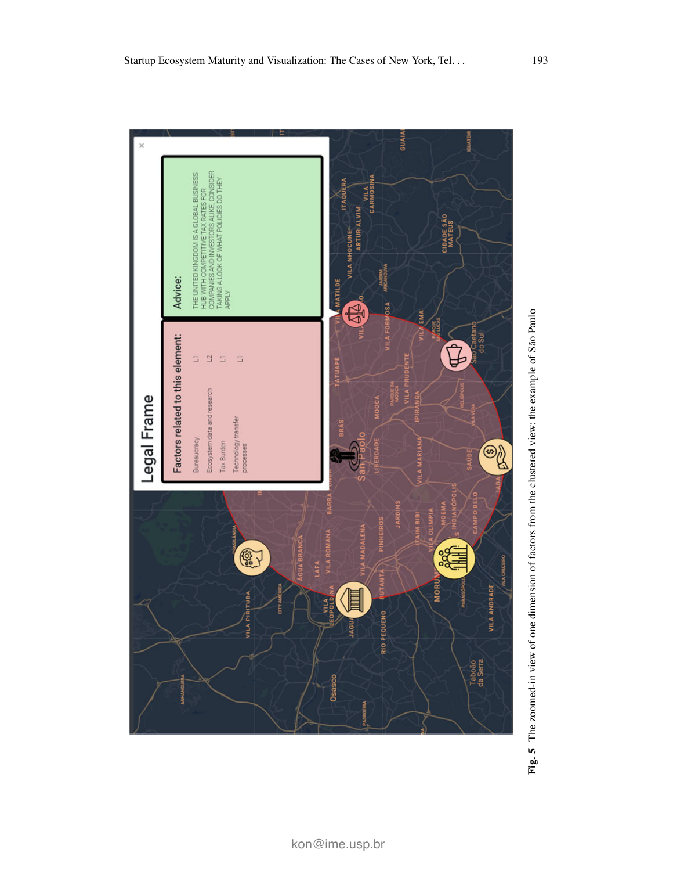

Fig. 5 The zoomed-in view of one dimension of factors from the clustered view: the example of São Paulo **Fig. 5** The zoomed-in view of one dimension of factors from the clustered view: the example of São Paulo